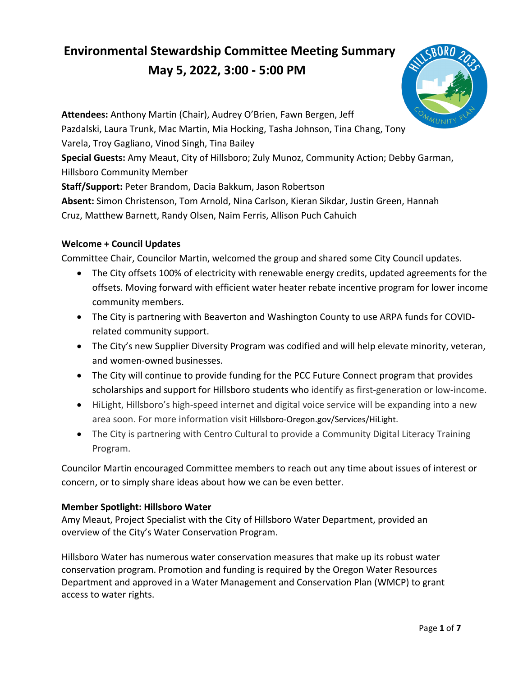# **May 5, 2022, 3:00 - 5:00 PM Environmental Stewardship Committee Meeting Summary**



**Attendees:** Anthony Martin (Chair), Audrey O'Brien, Fawn Bergen, Jeff Pazdalski, Laura Trunk, Mac Martin, Mia Hocking, Tasha Johnson, Tina Chang, Tony Varela, Troy Gagliano, Vinod Singh, Tina Bailey **Special Guests:** Amy Meaut, City of Hillsboro; Zuly Munoz, Community Action; Debby Garman, Hillsboro Community Member **Staff/Support:** Peter Brandom, Dacia Bakkum, Jason Robertson **Absent:** Simon Christenson, Tom Arnold, Nina Carlson, Kieran Sikdar, Justin Green, Hannah Cruz, Matthew Barnett, Randy Olsen, Naim Ferris, Allison Puch Cahuich

# **Welcome + Council Updates**

Committee Chair, Councilor Martin, welcomed the group and shared some City Council updates.

- The City offsets 100% of electricity with renewable energy credits, updated agreements for the offsets. Moving forward with efficient water heater rebate incentive program for lower income community members.
- The City is partnering with Beaverton and Washington County to use ARPA funds for COVIDrelated community support.
- The City's new Supplier Diversity Program was codified and will help elevate minority, veteran, and women-owned businesses.
- The City will continue to provide funding for the PCC Future Connect program that provides scholarships and support for Hillsboro students who identify as first-generation or low-income.
- HiLight, Hillsboro's high-speed internet and digital voice service will be expanding into a new area soon. For more information visit [Hillsboro-Oregon.gov/Services/HiLight.](https://Hillsboro-Oregon.gov/Services/HiLight)
- The City is partnering with Centro Cultural to provide a Community Digital Literacy Training Program.

Councilor Martin encouraged Committee members to reach out any time about issues of interest or concern, or to simply share ideas about how we can be even better.

# **Member Spotlight: Hillsboro Water**

Amy Meaut, Project Specialist with the City of Hillsboro Water Department, provided an overview of the City's Water Conservation Program.

Hillsboro Water has numerous water conservation measures that make up its robust water conservation program. Promotion and funding is required by the Oregon Water Resources Department and approved in a Water Management and Conservation Plan (WMCP) to grant access to water rights.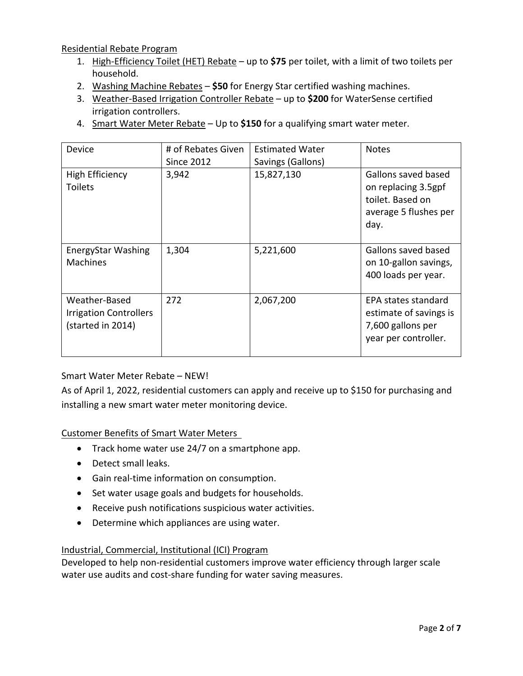Residential Rebate Program

- 1. High-Efficiency Toilet (HET) Rebate up to **\$75** per toilet, with a limit of two toilets per household.
- 2. Washing Machine Rebates **\$50** for Energy Star certified washing machines.
- 3. Weather-Based Irrigation Controller Rebate up to **\$200** for WaterSense certified irrigation controllers.
- 4. Smart Water Meter Rebate Up to **\$150** for a qualifying smart water meter.

| Device                                                              | # of Rebates Given<br><b>Since 2012</b> | <b>Estimated Water</b><br>Savings (Gallons) | <b>Notes</b>                                                                                    |
|---------------------------------------------------------------------|-----------------------------------------|---------------------------------------------|-------------------------------------------------------------------------------------------------|
| <b>High Efficiency</b><br><b>Toilets</b>                            | 3,942                                   | 15,827,130                                  | Gallons saved based<br>on replacing 3.5gpf<br>toilet. Based on<br>average 5 flushes per<br>day. |
| <b>EnergyStar Washing</b><br><b>Machines</b>                        | 1,304                                   | 5,221,600                                   | Gallons saved based<br>on 10-gallon savings,<br>400 loads per year.                             |
| Weather-Based<br><b>Irrigation Controllers</b><br>(started in 2014) | 272                                     | 2,067,200                                   | EPA states standard<br>estimate of savings is<br>7,600 gallons per<br>year per controller.      |

# Smart Water Meter Rebate – NEW!

 installing a new smart water meter monitoring device. As of April 1, 2022, residential customers can apply and receive up to \$150 for purchasing and

## Customer Benefits of Smart Water Meters

- Track home water use 24/7 on a smartphone app.
- Detect small leaks.
- Gain real-time information on consumption.
- Set water usage goals and budgets for households.
- Receive push notifications suspicious water activities.
- Determine which appliances are using water.

#### Industrial, Commercial, Institutional (ICI) Program

Developed to help non-residential customers improve water efficiency through larger scale water use audits and cost-share funding for water saving measures.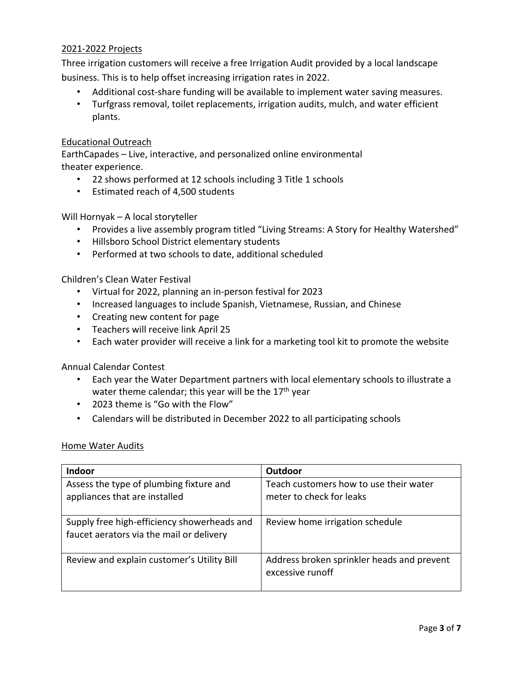#### 2021-2022 Projects

 Three irrigation customers will receive a free Irrigation Audit provided by a local landscape business. This is to help offset increasing irrigation rates in 2022.

- Additional cost-share funding will be available to implement water saving measures.
- Turfgrass removal, toilet replacements, irrigation audits, mulch, and water efficient plants.

#### Educational Outreach

EarthCapades – Live, interactive, and personalized online environmental theater experience.

- 22 shows performed at 12 schools including 3 Title 1 schools
- Estimated reach of 4,500 students

Will Hornyak – A local storyteller

- Provides a live assembly program titled "Living Streams: A Story for Healthy Watershed"
- Hillsboro School District elementary students
- Performed at two schools to date, additional scheduled

Children's Clean Water Festival

- Virtual for 2022, planning an in-person festival for 2023
- Increased languages to include Spanish, Vietnamese, Russian, and Chinese
- Creating new content for page
- Teachers will receive link April 25
- Each water provider will receive a link for a marketing tool kit to promote the website

Annual Calendar Contest

- • Each year the Water Department partners with local elementary schools to illustrate a water theme calendar; this year will be the 17<sup>th</sup> year
- 2023 theme is "Go with the Flow"
- Calendars will be distributed in December 2022 to all participating schools

#### Home Water Audits

| <b>Indoor</b>                                                                           | Outdoor                                                            |
|-----------------------------------------------------------------------------------------|--------------------------------------------------------------------|
| Assess the type of plumbing fixture and<br>appliances that are installed                | Teach customers how to use their water<br>meter to check for leaks |
| Supply free high-efficiency showerheads and<br>faucet aerators via the mail or delivery | Review home irrigation schedule                                    |
| Review and explain customer's Utility Bill                                              | Address broken sprinkler heads and prevent<br>excessive runoff     |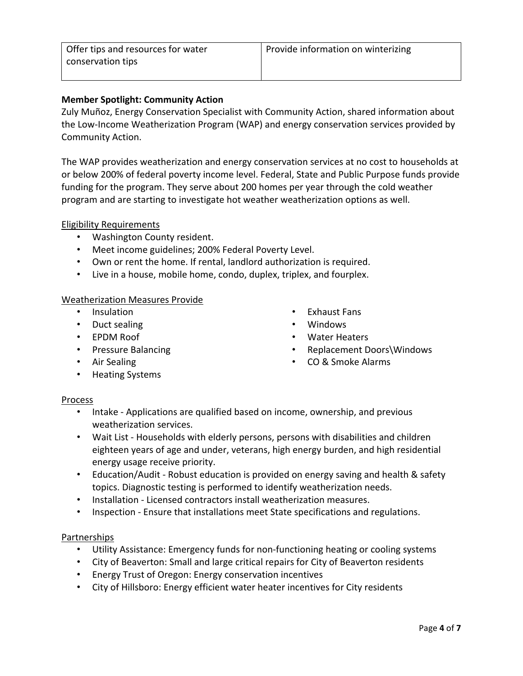## **Member Spotlight: Community Action**

 Zuly Muñoz, Energy Conservation Specialist with Community Action, shared information about the Low-Income Weatherization Program (WAP) and energy conservation services provided by Community Action.

program and are starting to investigate hot weather weatherization options as well.<br>Eligibility Requirements The WAP provides weatherization and energy conservation services at no cost to households at or below 200% of federal poverty income level. Federal, State and Public Purpose funds provide funding for the program. They serve about 200 homes per year through the cold weather

- Washington County resident.
- Meet income guidelines; 200% Federal Poverty Level.
- Own or rent the home. If rental, landlord authorization is required.
- Live in a house, mobile home, condo, duplex, triplex, and fourplex.

#### Weatherization Measures Provide

- Insulation Exhaust Fans
- Duct sealing **•** Windows
- 
- 
- 
- 
- EPDM Roof Water Heaters
- Pressure Balancing  **Pressure Balancing Replacement Doors** Windows
- Air Sealing  **CO & Smoke Alarms**
- 
- Heating Systems

#### Process

- • Intake Applications are qualified based on income, ownership, and previous weatherization services.
- Wait List Households with elderly persons, persons with disabilities and children eighteen years of age and under, veterans, high energy burden, and high residential energy usage receive priority.
- Education/Audit Robust education is provided on energy saving and health & safety topics. Diagnostic testing is performed to identify weatherization needs.
- Installation Licensed contractors install weatherization measures.
- Inspection Ensure that installations meet State specifications and regulations.

#### Partnerships

- Utility Assistance: Emergency funds for non-functioning heating or cooling systems
- City of Beaverton: Small and large critical repairs for City of Beaverton residents
- Energy Trust of Oregon: Energy conservation incentives
- City of Hillsboro: Energy efficient water heater incentives for City residents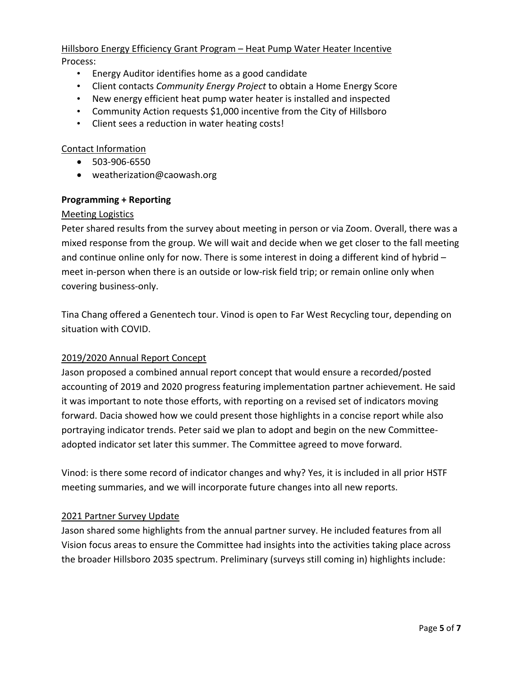# Hillsboro Energy Efficiency Grant Program – Heat Pump Water Heater Incentive

Process:

- Energy Auditor identifies home as a good candidate
- Client contacts *Community Energy Project* to obtain a Home Energy Score
- New energy efficient heat pump water heater is installed and inspected
- Community Action requests \$1,000 incentive from the City of Hillsboro
- Client sees a reduction in water heating costs!

## Contact Information

- 503-906-6550
- [weatherization@caowash.org](mailto:weatherization@caowash.org)

## **Programming + Reporting**

#### Meeting Logistics

Peter shared results from the survey about meeting in person or via Zoom. Overall, there was a mixed response from the group. We will wait and decide when we get closer to the fall meeting and continue online only for now. There is some interest in doing a different kind of hybrid – meet in-person when there is an outside or low-risk field trip; or remain online only when covering business-only.

Tina Chang offered a Genentech tour. Vinod is open to Far West Recycling tour, depending on situation with COVID.

#### 2019/2020 Annual Report Concept

Jason proposed a combined annual report concept that would ensure a recorded/posted accounting of 2019 and 2020 progress featuring implementation partner achievement. He said it was important to note those efforts, with reporting on a revised set of indicators moving forward. Dacia showed how we could present those highlights in a concise report while also portraying indicator trends. Peter said we plan to adopt and begin on the new Committeeadopted indicator set later this summer. The Committee agreed to move forward.

 meeting summaries, and we will incorporate future changes into all new reports. Vinod: is there some record of indicator changes and why? Yes, it is included in all prior HSTF

#### 2021 Partner Survey Update

Jason shared some highlights from the annual partner survey. He included features from all Vision focus areas to ensure the Committee had insights into the activities taking place across the broader Hillsboro 2035 spectrum. Preliminary (surveys still coming in) highlights include: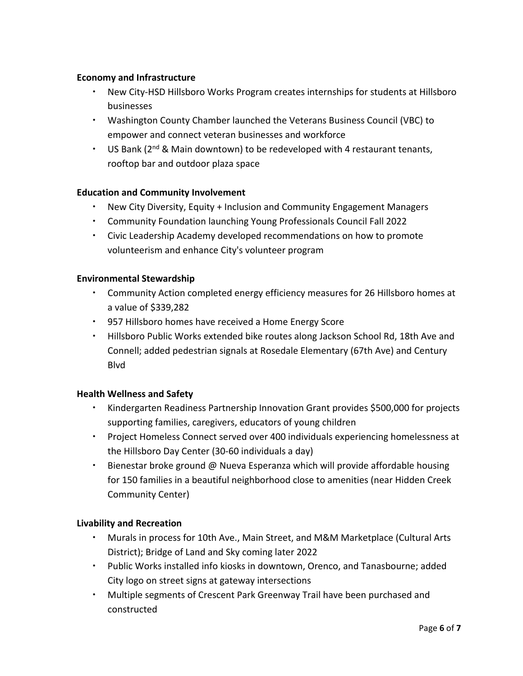### **Economy and Infrastructure**

- New City-HSD Hillsboro Works Program creates internships for students at Hillsboro businesses
- Washington County Chamber launched the Veterans Business Council (VBC) to empower and connect veteran businesses and workforce
- $\cdot$  US Bank (2<sup>nd</sup> & Main downtown) to be redeveloped with 4 restaurant tenants, rooftop bar and outdoor plaza space

## **Education and Community Involvement**

- New City Diversity, Equity + Inclusion and Community Engagement Managers
- Community Foundation launching Young Professionals Council Fall 2022
- Civic Leadership Academy developed recommendations on how to promote volunteerism and enhance City's volunteer program

## **Environmental Stewardship**

- Community Action completed energy efficiency measures for 26 Hillsboro homes at a value of \$339,282
- 957 Hillsboro homes have received a Home Energy Score
- Hillsboro Public Works extended bike routes along Jackson School Rd, 18th Ave and Connell; added pedestrian signals at Rosedale Elementary (67th Ave) and Century Blvd

#### **Health Wellness and Safety**

- supporting families, caregivers, educators of young children **Kindergarten Readiness Partnership Innovation Grant provides \$500,000 for projects**
- Project Homeless Connect served over 400 individuals experiencing homelessness at the Hillsboro Day Center (30-60 individuals a day)
- for 150 families in a beautiful neighborhood close to amenities (near Hidden Creek Bienestar broke ground @ Nueva Esperanza which will provide affordable housing Community Center)

#### **Livability and Recreation**

- Murals in process for 10th Ave., Main Street, and M&M Marketplace (Cultural Arts District); Bridge of Land and Sky coming later 2022
- Public Works installed info kiosks in downtown, Orenco, and Tanasbourne; added City logo on street signs at gateway intersections
- Multiple segments of Crescent Park Greenway Trail have been purchased and constructed